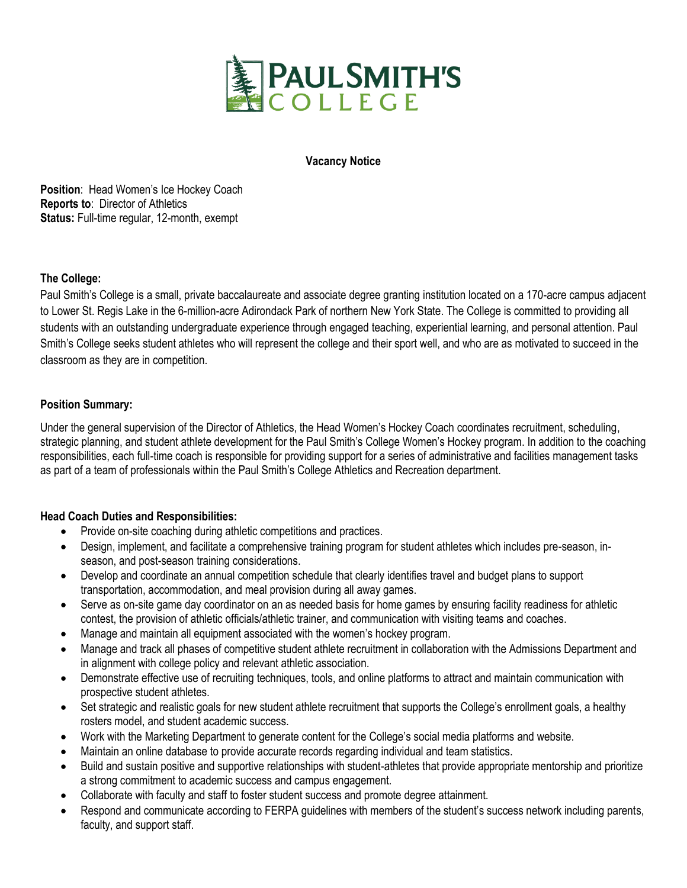

### **Vacancy Notice**

**Position**: Head Women's Ice Hockey Coach **Reports to**: Director of Athletics **Status:** Full-time regular, 12-month, exempt

## **The College:**

Paul Smith's College is a small, private baccalaureate and associate degree granting institution located on a 170-acre campus adjacent to Lower St. Regis Lake in the 6-million-acre Adirondack Park of northern New York State. The College is committed to providing all students with an outstanding undergraduate experience through engaged teaching, experiential learning, and personal attention. Paul Smith's College seeks student athletes who will represent the college and their sport well, and who are as motivated to succeed in the classroom as they are in competition.

## **Position Summary:**

Under the general supervision of the Director of Athletics, the Head Women's Hockey Coach coordinates recruitment, scheduling, strategic planning, and student athlete development for the Paul Smith's College Women's Hockey program. In addition to the coaching responsibilities, each full-time coach is responsible for providing support for a series of administrative and facilities management tasks as part of a team of professionals within the Paul Smith's College Athletics and Recreation department.

#### **Head Coach Duties and Responsibilities:**

- Provide on-site coaching during athletic competitions and practices.
- Design, implement, and facilitate a comprehensive training program for student athletes which includes pre-season, inseason, and post-season training considerations.
- Develop and coordinate an annual competition schedule that clearly identifies travel and budget plans to support transportation, accommodation, and meal provision during all away games.
- Serve as on-site game day coordinator on an as needed basis for home games by ensuring facility readiness for athletic contest, the provision of athletic officials/athletic trainer, and communication with visiting teams and coaches.
- Manage and maintain all equipment associated with the women's hockey program.
- Manage and track all phases of competitive student athlete recruitment in collaboration with the Admissions Department and in alignment with college policy and relevant athletic association.
- Demonstrate effective use of recruiting techniques, tools, and online platforms to attract and maintain communication with prospective student athletes.
- Set strategic and realistic goals for new student athlete recruitment that supports the College's enrollment goals, a healthy rosters model, and student academic success.
- Work with the Marketing Department to generate content for the College's social media platforms and website.
- Maintain an online database to provide accurate records regarding individual and team statistics.
- Build and sustain positive and supportive relationships with student-athletes that provide appropriate mentorship and prioritize a strong commitment to academic success and campus engagement.
- Collaborate with faculty and staff to foster student success and promote degree attainment.
- Respond and communicate according to FERPA guidelines with members of the student's success network including parents, faculty, and support staff.